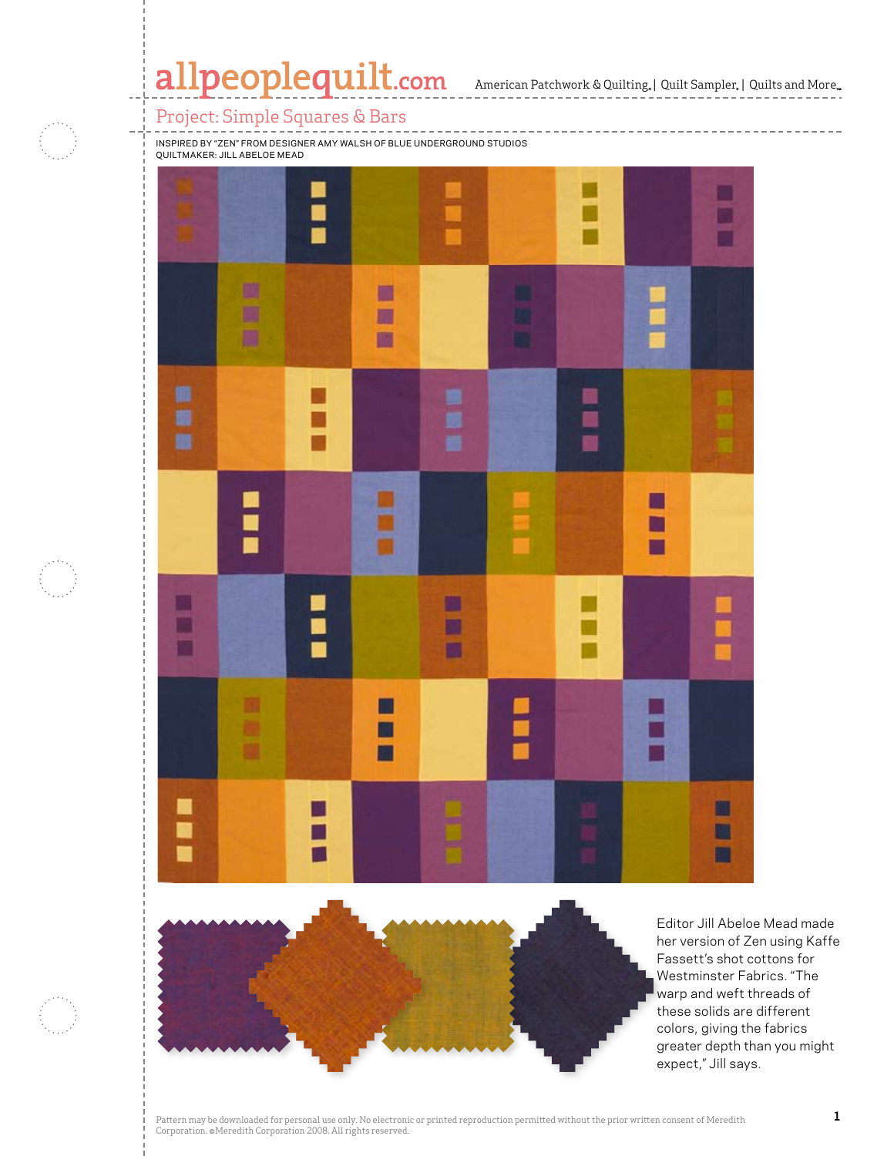## Project: Simple Squares & Bars

医腹膜

E

r

H

Inspired by "Zen" from designer Amy Walsh of Blue Underground Studios and Amy Walsh of Blue Underground Studios

m E m

k.

Ī

M ■ ₩

<u>s</u>

■

□

П

H

■■■

■ m 圖

> Editor Jill Abeloe Mead made her version of Zen using Kaffe Fassett's shot cottons for Westminster Fabrics. "The warp and weft threads of these solids are different colors, giving the fabrics greater depth than you might expect," Jill says.

D

圍

 $\mathbb{R}$  and  $\mathbb{R}$  are particular in  $\mathbb{R}$  and  $\mathbb{R}$ 

E

Ē

言言

P.

E

 $\overline{\phantom{a}}$ 

E Е ■ E

 $\mathcal{P}$  and  $\mathcal{P}$  are downloaded for personal use only. No electronic or printed without the prior written consent of  $\mathcal{P}$  and  $\mathcal{P}$  are defined with  $\mathcal{P}$  and  $\mathcal{P}$  are defined with  $\mathcal{P}$  and  $\mathcal{P}$ 

Corporation. ©Meredith Corporation. ©Meredith Corporation. 2008. All rights reserved.